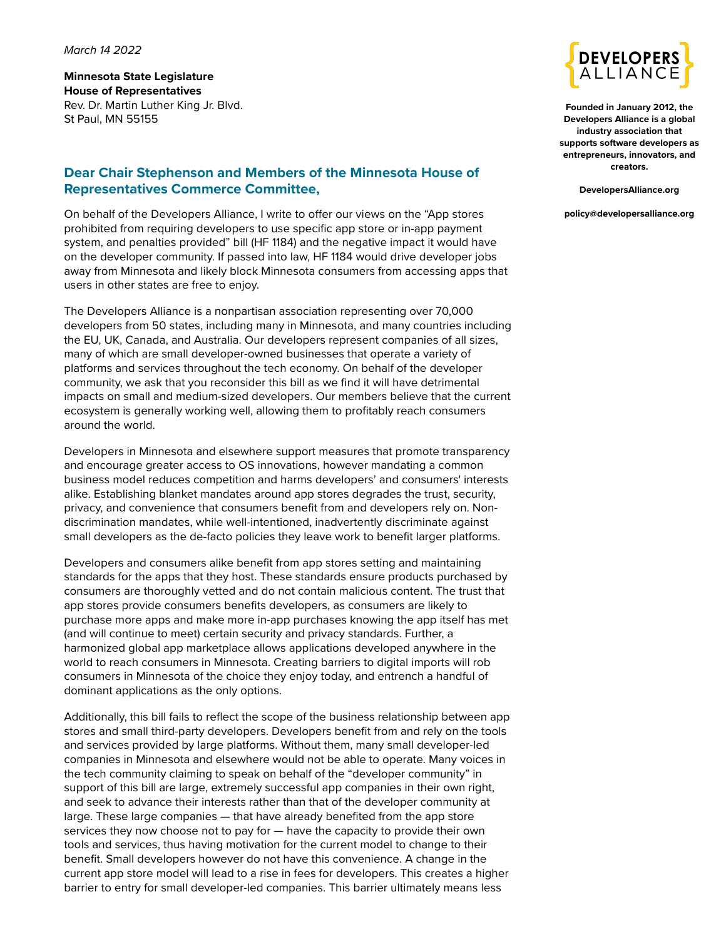#### *March 14 2022*

**Minnesota State Legislature House of Representatives** Rev. Dr. Martin Luther King Jr. Blvd. St Paul, MN 55155

### **Dear Chair Stephenson and Members of the Minnesota House of Representatives Commerce Committee,**

On behalf of the Developers Alliance, I write to offer our views on the "App stores prohibited from requiring developers to use specific app store or in-app payment system, and penalties provided" bill (HF 1184) and the negative impact it would have on the developer community. If passed into law, HF 1184 would drive developer jobs away from Minnesota and likely block Minnesota consumers from accessing apps that users in other states are free to enjoy.

The Developers Alliance is a nonpartisan association representing over 70,000 developers from 50 states, including many in Minnesota, and many countries including the EU, UK, Canada, and Australia. Our developers represent companies of all sizes, many of which are small developer-owned businesses that operate a variety of platforms and services throughout the tech economy. On behalf of the developer community, we ask that you reconsider this bill as we find it will have detrimental impacts on small and medium-sized developers. Our members believe that the current ecosystem is generally working well, allowing them to profitably reach consumers around the world.

Developers in Minnesota and elsewhere support measures that promote transparency and encourage greater access to OS innovations, however mandating a common business model reduces competition and harms developers' and consumers' interests alike. Establishing blanket mandates around app stores degrades the trust, security, privacy, and convenience that consumers benefit from and developers rely on. Nondiscrimination mandates, while well-intentioned, inadvertently discriminate against small developers as the de-facto policies they leave work to benefit larger platforms.

Developers and consumers alike benefit from app stores setting and maintaining standards for the apps that they host. These standards ensure products purchased by consumers are thoroughly vetted and do not contain malicious content. The trust that app stores provide consumers benefits developers, as consumers are likely to purchase more apps and make more in-app purchases knowing the app itself has met (and will continue to meet) certain security and privacy standards. Further, a harmonized global app marketplace allows applications developed anywhere in the world to reach consumers in Minnesota. Creating barriers to digital imports will rob consumers in Minnesota of the choice they enjoy today, and entrench a handful of dominant applications as the only options.

Additionally, this bill fails to reflect the scope of the business relationship between app stores and small third-party developers. Developers benefit from and rely on the tools and services provided by large platforms. Without them, many small developer-led companies in Minnesota and elsewhere would not be able to operate. Many voices in the tech community claiming to speak on behalf of the "developer community" in support of this bill are large, extremely successful app companies in their own right, and seek to advance their interests rather than that of the developer community at large. These large companies — that have already benefited from the app store services they now choose not to pay for — have the capacity to provide their own tools and services, thus having motivation for the current model to change to their benefit. Small developers however do not have this convenience. A change in the current app store model will lead to a rise in fees for developers. This creates a higher barrier to entry for small developer-led companies. This barrier ultimately means less



**Founded in January 2012, the Developers Alliance is a global industry association that supports software developers as entrepreneurs, innovators, and creators.**

**DevelopersAlliance.org**

**policy@developersalliance.org**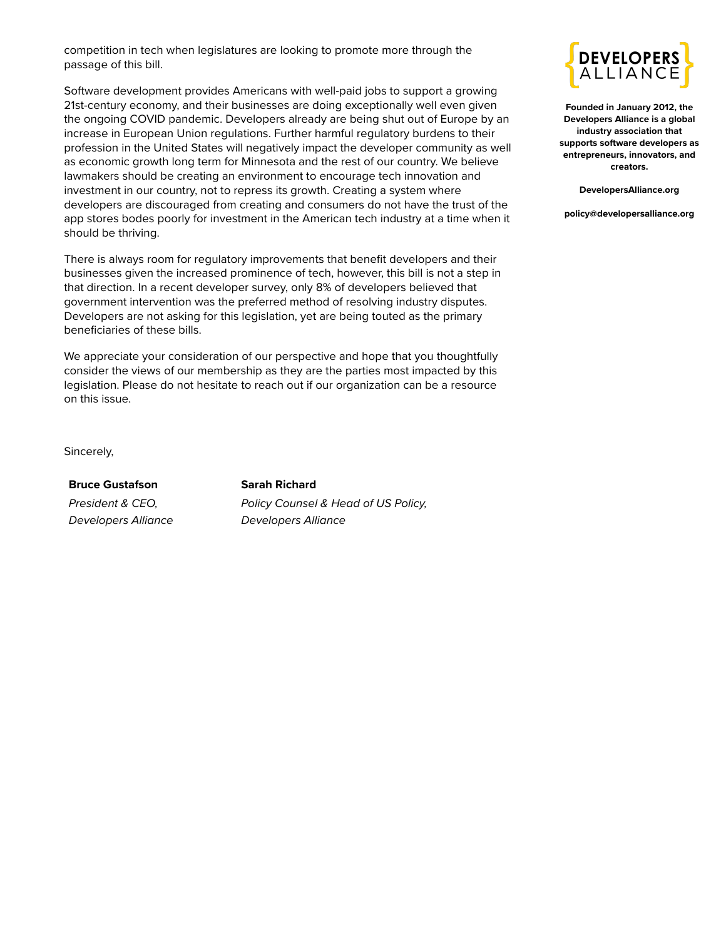competition in tech when legislatures are looking to promote more through the passage of this bill.

Software development provides Americans with well-paid jobs to support a growing 21st-century economy, and their businesses are doing exceptionally well even given the ongoing COVID pandemic. Developers already are being shut out of Europe by an increase in European Union regulations. Further harmful regulatory burdens to their profession in the United States will negatively impact the developer community as well as economic growth long term for Minnesota and the rest of our country. We believe lawmakers should be creating an environment to encourage tech innovation and investment in our country, not to repress its growth. Creating a system where developers are discouraged from creating and consumers do not have the trust of the app stores bodes poorly for investment in the American tech industry at a time when it should be thriving.

There is always room for regulatory improvements that benefit developers and their businesses given the increased prominence of tech, however, this bill is not a step in that direction. In a recent developer survey, only 8% of developers believed that government intervention was the preferred method of resolving industry disputes. Developers are not asking for this legislation, yet are being touted as the primary beneficiaries of these bills.

We appreciate your consideration of our perspective and hope that you thoughtfully consider the views of our membership as they are the parties most impacted by this legislation. Please do not hesitate to reach out if our organization can be a resource on this issue.

**DEVELOPE** ALLIAN

**Founded in January 2012, the Developers Alliance is a global industry association that supports software developers as entrepreneurs, innovators, and creators.**

**DevelopersAlliance.org**

**policy@developersalliance.org**

Sincerely,

#### **[Bruce Gustafson](mailto:bruce@developersalliance.org)**

*President & CEO, Developers Alliance*

#### **[Sarah Richard](mailto:sarah@developersalliance.org)**

*Policy Counsel & Head of US Policy, Developers Alliance*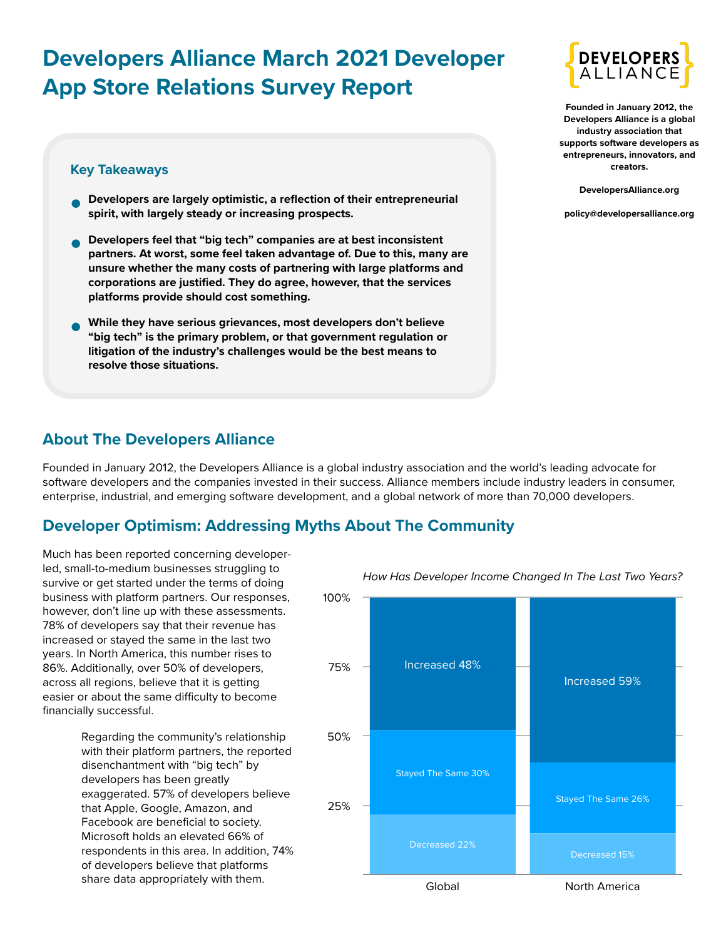# **Developers Alliance March 2021 Developer App Store Relations Survey Report**

### **Key Takeaways**

- **• Developers are largely optimistic, a reflection of their entrepreneurial spirit, with largely steady or increasing prospects.**
- **• Developers feel that "big tech" companies are at best inconsistent partners. At worst, some feel taken advantage of. Due to this, many are unsure whether the many costs of partnering with large platforms and corporations are justified. They do agree, however, that the services platforms provide should cost something.**
- **• While they have serious grievances, most developers don't believe "big tech" is the primary problem, or that government regulation or litigation of the industry's challenges would be the best means to resolve those situations.**



**Founded in January 2012, the Developers Alliance is a global industry association that supports software developers as entrepreneurs, innovators, and creators.**

**DevelopersAlliance.org**

**policy@developersalliance.org**

### **About The Developers Alliance**

Founded in January 2012, the Developers Alliance is a global industry association and the world's leading advocate for software developers and the companies invested in their success. Alliance members include industry leaders in consumer, enterprise, industrial, and emerging software development, and a global network of more than 70,000 developers.

# **Developer Optimism: Addressing Myths About The Community**

Much has been reported concerning developerled, small-to-medium businesses struggling to survive or get started under the terms of doing business with platform partners. Our responses, however, don't line up with these assessments. 78% of developers say that their revenue has increased or stayed the same in the last two years. In North America, this number rises to 86%. Additionally, over 50% of developers, across all regions, believe that it is getting easier or about the same difficulty to become financially successful.

> Regarding the community's relationship with their platform partners, the reported disenchantment with "big tech" by developers has been greatly exaggerated. 57% of developers believe that Apple, Google, Amazon, and Facebook are beneficial to society. Microsoft holds an elevated 66% of respondents in this area. In addition, 74% of developers believe that platforms share data appropriately with them.



*How Has Developer Income Changed In The Last Two Years?*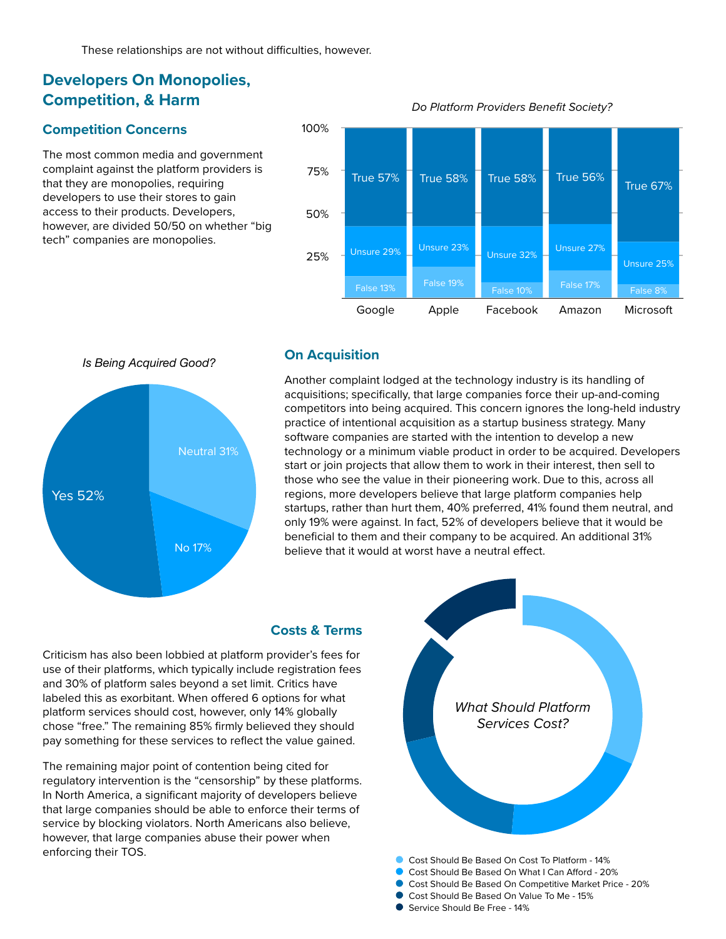# **Developers On Monopolies, Competition, & Harm**

#### **Competition Concerns**

The most common media and government complaint against the platform providers is that they are monopolies, requiring developers to use their stores to gain access to their products. Developers, however, are divided 50/50 on whether "big tech" companies are monopolies.

### 25% 50% 75% 100% Google Apple Facebook Amazon Microsoft True 57% True 58% True 58% True 56% True 67% Unsure 25% Unsure 27% Unsure 32% Unsure 29% Unsure 23% False 10% False 17% False 8% False 19% False 13%

*Do Platform Providers Benefit Society?*

# *Is Being Acquired Good?*



#### **On Acquisition**

Another complaint lodged at the technology industry is its handling of acquisitions; specifically, that large companies force their up-and-coming competitors into being acquired. This concern ignores the long-held industry practice of intentional acquisition as a startup business strategy. Many software companies are started with the intention to develop a new technology or a minimum viable product in order to be acquired. Developers start or join projects that allow them to work in their interest, then sell to those who see the value in their pioneering work. Due to this, across all regions, more developers believe that large platform companies help startups, rather than hurt them, 40% preferred, 41% found them neutral, and only 19% were against. In fact, 52% of developers believe that it would be beneficial to them and their company to be acquired. An additional 31% believe that it would at worst have a neutral effect.

#### **Costs & Terms**

Criticism has also been lobbied at platform provider's fees for use of their platforms, which typically include registration fees and 30% of platform sales beyond a set limit. Critics have labeled this as exorbitant. When offered 6 options for what platform services should cost, however, only 14% globally chose "free." The remaining 85% firmly believed they should pay something for these services to reflect the value gained.

The remaining major point of contention being cited for regulatory intervention is the "censorship" by these platforms. In North America, a significant majority of developers believe that large companies should be able to enforce their terms of service by blocking violators. North Americans also believe, however, that large companies abuse their power when enforcing their TOS.



Service Should Be Free - 14%